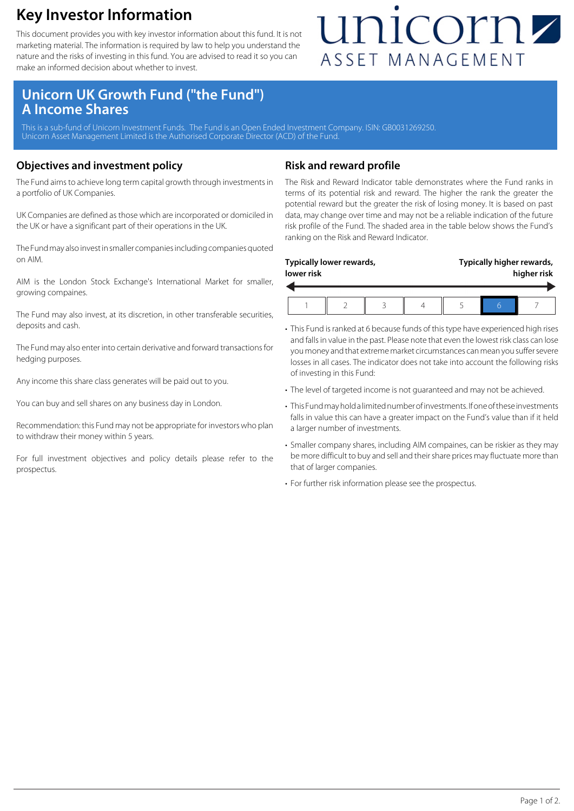### **Key Investor Information**

This document provides you with key investor information about this fund. It is not marketing material. The information is required by law to help you understand the nature and the risks of investing in this fund. You are advised to read it so you can make an informed decision about whether to invest.

## unicornz ASSET MANAGEMENT

### **Unicorn UK Growth Fund ("the Fund") A Income Shares**

This is a sub-fund of Unicorn Investment Funds. The Fund is an Open Ended Investment Company. ISIN: GB0031269250. Unicorn Asset Management Limited is the Authorised Corporate Director (ACD) of the Fund.

#### **Objectives and investment policy**

The Fund aims to achieve long term capital growth through investments in a portfolio of UK Companies.

UK Companies are defined as those which are incorporated or domiciled in the UK or have a significant part of their operations in the UK.

The Fund may also invest in smaller companies including companies quoted on AIM.

AIM is the London Stock Exchange's International Market for smaller, growing compaines.

The Fund may also invest, at its discretion, in other transferable securities, deposits and cash.

The Fund may also enter into certain derivative and forward transactions for hedging purposes.

Any income this share class generates will be paid out to you.

You can buy and sell shares on any business day in London.

Recommendation: this Fund may not be appropriate for investors who plan to withdraw their money within 5 years.

For full investment objectives and policy details please refer to the prospectus.

#### **Risk and reward profile**

The Risk and Reward Indicator table demonstrates where the Fund ranks in terms of its potential risk and reward. The higher the rank the greater the potential reward but the greater the risk of losing money. It is based on past data, may change over time and may not be a reliable indication of the future risk profile of the Fund. The shaded area in the table below shows the Fund's ranking on the Risk and Reward Indicator.

| lower risk | Typically lower rewards, |  | Typically higher rewards,<br>higher risk |  |  |
|------------|--------------------------|--|------------------------------------------|--|--|
|            |                          |  |                                          |  |  |

- This Fund is ranked at 6 because funds of this type have experienced high rises and falls in value in the past. Please note that even the lowest risk class can lose you money and that extreme market circumstances can mean you suffer severe losses in all cases. The indicator does not take into account the following risks of investing in this Fund:
- The level of targeted income is not guaranteed and may not be achieved.
- This Fund may hold a limited number of investments. If one of these investments falls in value this can have a greater impact on the Fund's value than if it held a larger number of investments.
- Smaller company shares, including AIM compaines, can be riskier as they may be more difficult to buy and sell and their share prices may fluctuate more than that of larger companies.
- For further risk information please see the prospectus.